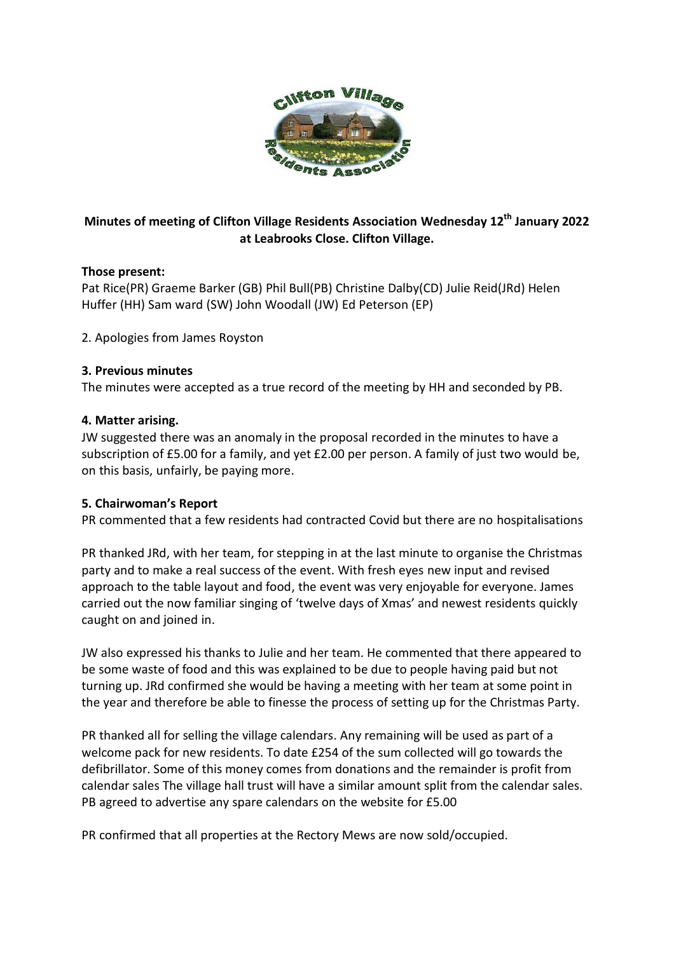

## **Minutes of meeting of Clifton Village Residents Association Wednesday 12th January 2022 at Leabrooks Close. Clifton Village.**

#### **Those present:**

Pat Rice(PR) Graeme Barker (GB) Phil Bull(PB) Christine Dalby(CD) Julie Reid(JRd) Helen Huffer (HH) Sam ward (SW) John Woodall (JW) Ed Peterson (EP)

2. Apologies from James Royston

#### **3. Previous minutes**

The minutes were accepted as a true record of the meeting by HH and seconded by PB.

#### **4. Matter arising.**

JW suggested there was an anomaly in the proposal recorded in the minutes to have a subscription of £5.00 for a family, and yet £2.00 per person. A family of just two would be, on this basis, unfairly, be paying more.

#### **5. Chairwoman's Report**

PR commented that a few residents had contracted Covid but there are no hospitalisations

PR thanked JRd, with her team, for stepping in at the last minute to organise the Christmas party and to make a real success of the event. With fresh eyes new input and revised approach to the table layout and food, the event was very enjoyable for everyone. James carried out the now familiar singing of 'twelve days of Xmas' and newest residents quickly caught on and joined in.

JW also expressed his thanks to Julie and her team. He commented that there appeared to be some waste of food and this was explained to be due to people having paid but not turning up. JRd confirmed she would be having a meeting with her team at some point in the year and therefore be able to finesse the process of setting up for the Christmas Party.

PR thanked all for selling the village calendars. Any remaining will be used as part of a welcome pack for new residents. To date £254 of the sum collected will go towards the defibrillator. Some of this money comes from donations and the remainder is profit from calendar sales The village hall trust will have a similar amount split from the calendar sales. PB agreed to advertise any spare calendars on the website for £5.00

PR confirmed that all properties at the Rectory Mews are now sold/occupied.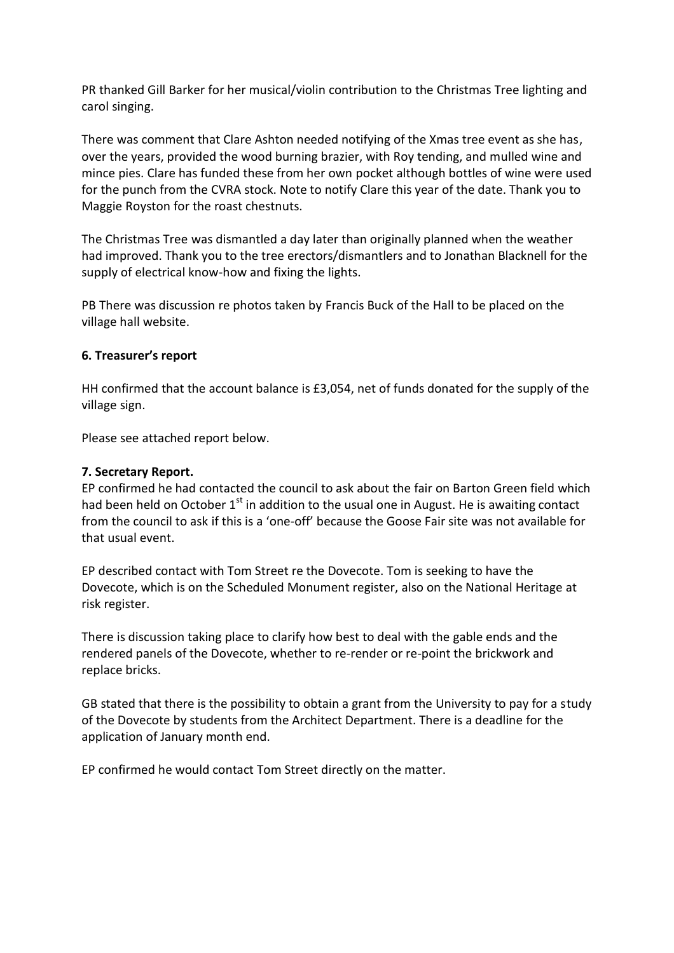PR thanked Gill Barker for her musical/violin contribution to the Christmas Tree lighting and carol singing.

There was comment that Clare Ashton needed notifying of the Xmas tree event as she has, over the years, provided the wood burning brazier, with Roy tending, and mulled wine and mince pies. Clare has funded these from her own pocket although bottles of wine were used for the punch from the CVRA stock. Note to notify Clare this year of the date. Thank you to Maggie Royston for the roast chestnuts.

The Christmas Tree was dismantled a day later than originally planned when the weather had improved. Thank you to the tree erectors/dismantlers and to Jonathan Blacknell for the supply of electrical know-how and fixing the lights.

PB There was discussion re photos taken by Francis Buck of the Hall to be placed on the village hall website.

#### **6. Treasurer's report**

HH confirmed that the account balance is £3,054, net of funds donated for the supply of the village sign.

Please see attached report below.

#### **7. Secretary Report.**

EP confirmed he had contacted the council to ask about the fair on Barton Green field which had been held on October  $1<sup>st</sup>$  in addition to the usual one in August. He is awaiting contact from the council to ask if this is a 'one-off' because the Goose Fair site was not available for that usual event.

EP described contact with Tom Street re the Dovecote. Tom is seeking to have the Dovecote, which is on the Scheduled Monument register, also on the National Heritage at risk register.

There is discussion taking place to clarify how best to deal with the gable ends and the rendered panels of the Dovecote, whether to re-render or re-point the brickwork and replace bricks.

GB stated that there is the possibility to obtain a grant from the University to pay for a study of the Dovecote by students from the Architect Department. There is a deadline for the application of January month end.

EP confirmed he would contact Tom Street directly on the matter.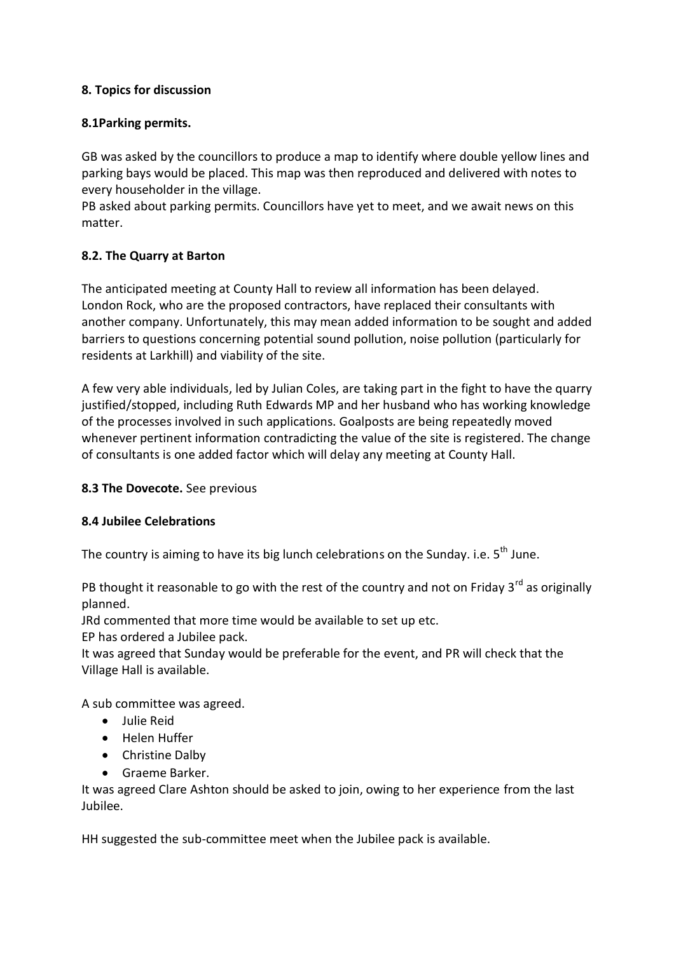#### **8. Topics for discussion**

### **8.1Parking permits.**

GB was asked by the councillors to produce a map to identify where double yellow lines and parking bays would be placed. This map was then reproduced and delivered with notes to every householder in the village.

PB asked about parking permits. Councillors have yet to meet, and we await news on this matter.

## **8.2. The Quarry at Barton**

The anticipated meeting at County Hall to review all information has been delayed. London Rock, who are the proposed contractors, have replaced their consultants with another company. Unfortunately, this may mean added information to be sought and added barriers to questions concerning potential sound pollution, noise pollution (particularly for residents at Larkhill) and viability of the site.

A few very able individuals, led by Julian Coles, are taking part in the fight to have the quarry justified/stopped, including Ruth Edwards MP and her husband who has working knowledge of the processes involved in such applications. Goalposts are being repeatedly moved whenever pertinent information contradicting the value of the site is registered. The change of consultants is one added factor which will delay any meeting at County Hall.

#### **8.3 The Dovecote.** See previous

#### **8.4 Jubilee Celebrations**

The country is aiming to have its big lunch celebrations on the Sundav. i.e.  $5<sup>th</sup>$  June.

PB thought it reasonable to go with the rest of the country and not on Friday 3<sup>rd</sup> as originally planned.

JRd commented that more time would be available to set up etc.

EP has ordered a Jubilee pack.

It was agreed that Sunday would be preferable for the event, and PR will check that the Village Hall is available.

A sub committee was agreed.

- Julie Reid
- Helen Huffer
- Christine Dalby
- Graeme Barker.

It was agreed Clare Ashton should be asked to join, owing to her experience from the last Jubilee.

HH suggested the sub-committee meet when the Jubilee pack is available.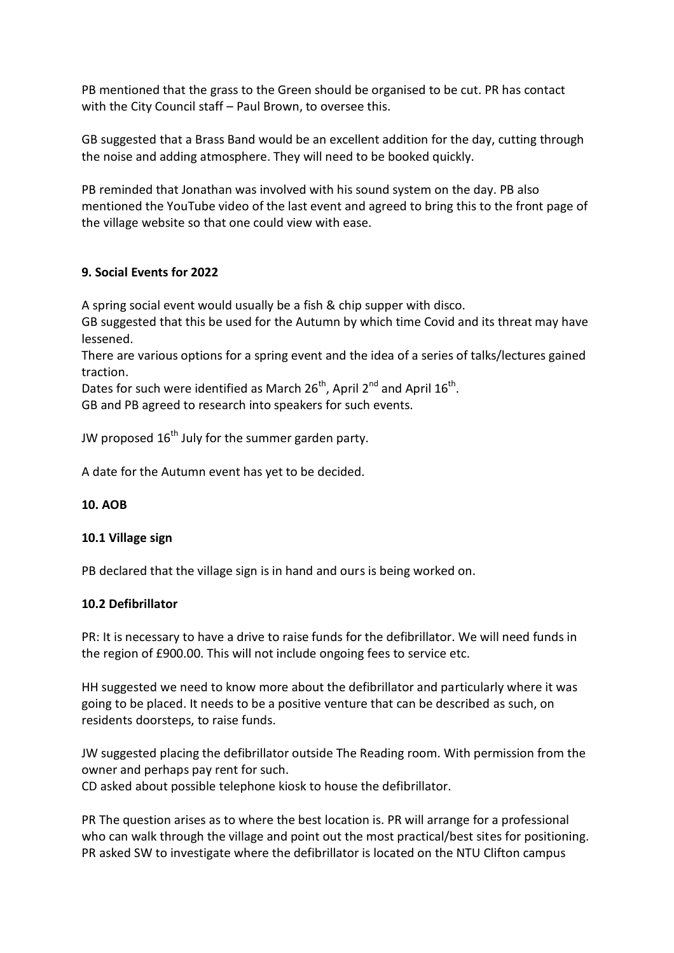PB mentioned that the grass to the Green should be organised to be cut. PR has contact with the City Council staff – Paul Brown, to oversee this.

GB suggested that a Brass Band would be an excellent addition for the day, cutting through the noise and adding atmosphere. They will need to be booked quickly.

PB reminded that Jonathan was involved with his sound system on the day. PB also mentioned the YouTube video of the last event and agreed to bring this to the front page of the village website so that one could view with ease.

#### **9. Social Events for 2022**

A spring social event would usually be a fish & chip supper with disco.

GB suggested that this be used for the Autumn by which time Covid and its threat may have lessened.

There are various options for a spring event and the idea of a series of talks/lectures gained traction.

Dates for such were identified as March 26<sup>th</sup>, April 2<sup>nd</sup> and April 16<sup>th</sup>.

GB and PB agreed to research into speakers for such events.

JW proposed  $16<sup>th</sup>$  July for the summer garden party.

A date for the Autumn event has yet to be decided.

#### **10. AOB**

#### **10.1 Village sign**

PB declared that the village sign is in hand and ours is being worked on.

#### **10.2 Defibrillator**

PR: It is necessary to have a drive to raise funds for the defibrillator. We will need funds in the region of £900.00. This will not include ongoing fees to service etc.

HH suggested we need to know more about the defibrillator and particularly where it was going to be placed. It needs to be a positive venture that can be described as such, on residents doorsteps, to raise funds.

JW suggested placing the defibrillator outside The Reading room. With permission from the owner and perhaps pay rent for such.

CD asked about possible telephone kiosk to house the defibrillator.

PR The question arises as to where the best location is. PR will arrange for a professional who can walk through the village and point out the most practical/best sites for positioning. PR asked SW to investigate where the defibrillator is located on the NTU Clifton campus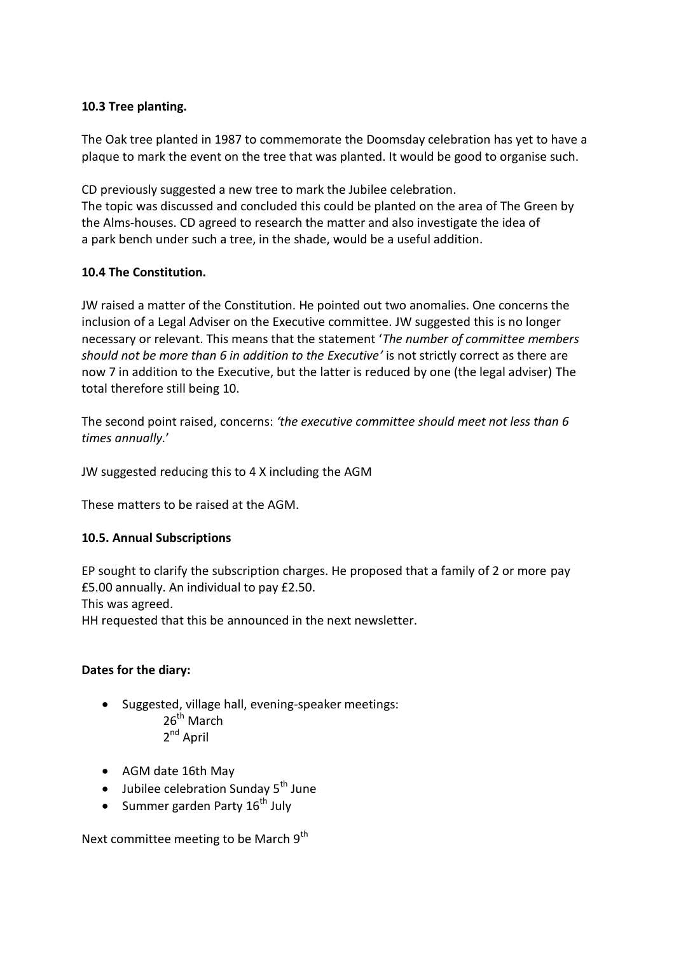#### **10.3 Tree planting.**

The Oak tree planted in 1987 to commemorate the Doomsday celebration has yet to have a plaque to mark the event on the tree that was planted. It would be good to organise such.

CD previously suggested a new tree to mark the Jubilee celebration. The topic was discussed and concluded this could be planted on the area of The Green by the Alms-houses. CD agreed to research the matter and also investigate the idea of a park bench under such a tree, in the shade, would be a useful addition.

#### **10.4 The Constitution.**

JW raised a matter of the Constitution. He pointed out two anomalies. One concerns the inclusion of a Legal Adviser on the Executive committee. JW suggested this is no longer necessary or relevant. This means that the statement '*The number of committee members should not be more than 6 in addition to the Executive'* is not strictly correct as there are now 7 in addition to the Executive, but the latter is reduced by one (the legal adviser) The total therefore still being 10.

The second point raised, concerns: *'the executive committee should meet not less than 6 times annually.*'

JW suggested reducing this to 4 X including the AGM

These matters to be raised at the AGM.

#### **10.5. Annual Subscriptions**

EP sought to clarify the subscription charges. He proposed that a family of 2 or more pay £5.00 annually. An individual to pay £2.50.

This was agreed.

HH requested that this be announced in the next newsletter.

#### **Dates for the diary:**

- Suggested, village hall, evening-speaker meetings: 26<sup>th</sup> March 2<sup>nd</sup> April
- AGM date 16th May
- $\bullet$  Jubilee celebration Sunday 5<sup>th</sup> June
- Summer garden Party  $16^{th}$  July

Next committee meeting to be March 9<sup>th</sup>